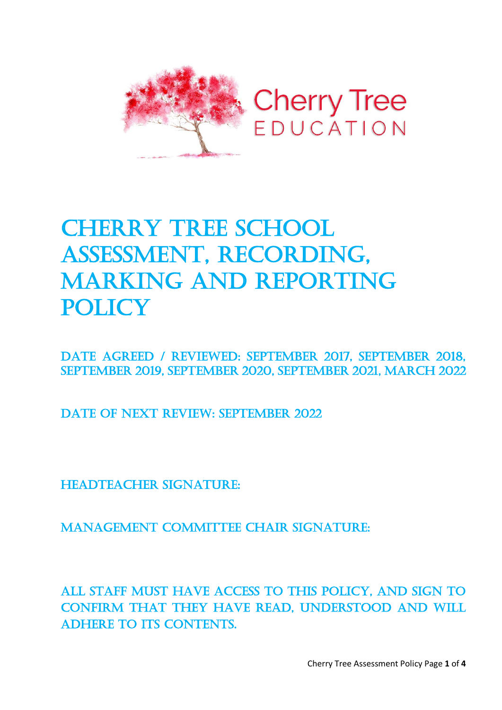

# **CHERRY TREE SCHOOL** Assessment, recording, Marking and reporting **POLICY**

Date Agreed / REVIEWED: September 2017, September 2018, September 2019, September 2020, September 2021, March 2022

DATE OF NEXT REVIEW: SEPTEMBER 2022

HEADTEACHER SIGNATURE:

MANAGEMENT COMMITTEE CHAIR SIGNATURE:

All staff must have access to this policy, and sign to confirm that they have read, understood and will ADHERE TO ITS CONTENTS.

Cherry Tree Assessment Policy Page **1** of **4**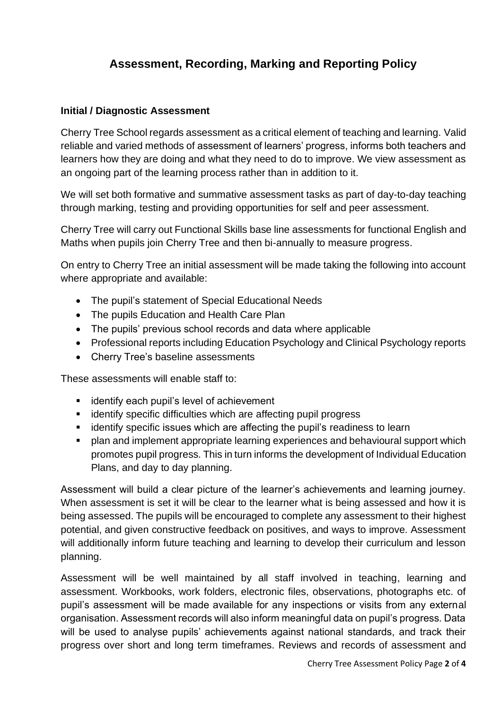# **Assessment, Recording, Marking and Reporting Policy**

## **Initial / Diagnostic Assessment**

Cherry Tree School regards assessment as a critical element of teaching and learning. Valid reliable and varied methods of assessment of learners' progress, informs both teachers and learners how they are doing and what they need to do to improve. We view assessment as an ongoing part of the learning process rather than in addition to it.

We will set both formative and summative assessment tasks as part of day-to-day teaching through marking, testing and providing opportunities for self and peer assessment.

Cherry Tree will carry out Functional Skills base line assessments for functional English and Maths when pupils join Cherry Tree and then bi-annually to measure progress.

On entry to Cherry Tree an initial assessment will be made taking the following into account where appropriate and available:

- The pupil's statement of Special Educational Needs
- The pupils Education and Health Care Plan
- The pupils' previous school records and data where applicable
- Professional reports including Education Psychology and Clinical Psychology reports
- Cherry Tree's baseline assessments

These assessments will enable staff to:

- identify each pupil's level of achievement
- identify specific difficulties which are affecting pupil progress
- identify specific issues which are affecting the pupil's readiness to learn
- plan and implement appropriate learning experiences and behavioural support which promotes pupil progress. This in turn informs the development of Individual Education Plans, and day to day planning.

Assessment will build a clear picture of the learner's achievements and learning journey. When assessment is set it will be clear to the learner what is being assessed and how it is being assessed. The pupils will be encouraged to complete any assessment to their highest potential, and given constructive feedback on positives, and ways to improve. Assessment will additionally inform future teaching and learning to develop their curriculum and lesson planning.

Assessment will be well maintained by all staff involved in teaching, learning and assessment. Workbooks, work folders, electronic files, observations, photographs etc. of pupil's assessment will be made available for any inspections or visits from any external organisation. Assessment records will also inform meaningful data on pupil's progress. Data will be used to analyse pupils' achievements against national standards, and track their progress over short and long term timeframes. Reviews and records of assessment and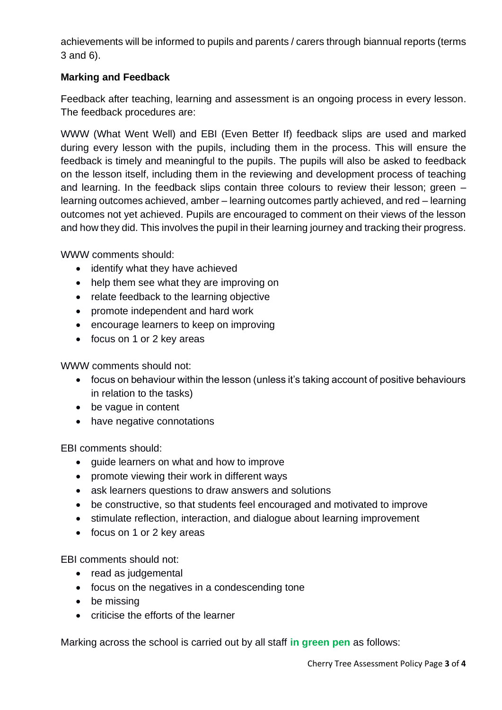achievements will be informed to pupils and parents / carers through biannual reports (terms 3 and 6).

# **Marking and Feedback**

Feedback after teaching, learning and assessment is an ongoing process in every lesson. The feedback procedures are:

WWW (What Went Well) and EBI (Even Better If) feedback slips are used and marked during every lesson with the pupils, including them in the process. This will ensure the feedback is timely and meaningful to the pupils. The pupils will also be asked to feedback on the lesson itself, including them in the reviewing and development process of teaching and learning. In the feedback slips contain three colours to review their lesson; green – learning outcomes achieved, amber – learning outcomes partly achieved, and red – learning outcomes not yet achieved. Pupils are encouraged to comment on their views of the lesson and how they did. This involves the pupil in their learning journey and tracking their progress.

WWW comments should:

- identify what they have achieved
- help them see what they are improving on
- relate feedback to the learning objective
- promote independent and hard work
- encourage learners to keep on improving
- focus on 1 or 2 key areas

WWW comments should not:

- focus on behaviour within the lesson (unless it's taking account of positive behaviours in relation to the tasks)
- be vague in content
- have negative connotations

EBI comments should:

- guide learners on what and how to improve
- promote viewing their work in different ways
- ask learners questions to draw answers and solutions
- be constructive, so that students feel encouraged and motivated to improve
- stimulate reflection, interaction, and dialogue about learning improvement
- focus on 1 or 2 key areas

EBI comments should not:

- read as judgemental
- focus on the negatives in a condescending tone
- be missing
- criticise the efforts of the learner

Marking across the school is carried out by all staff **in green pen** as follows: